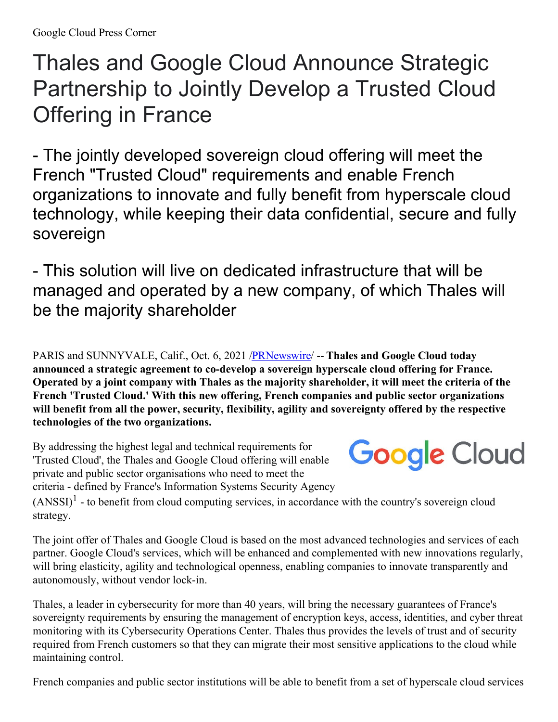## Thales and Google Cloud Announce Strategic Partnership to Jointly Develop a Trusted Cloud Offering in France

- The jointly developed sovereign cloud offering will meet the French "Trusted Cloud" requirements and enable French organizations to innovate and fully benefit from hyperscale cloud technology, while keeping their data confidential, secure and fully sovereign

- This solution will live on dedicated infrastructure that will be managed and operated by a new company, of which Thales will be the majority shareholder

PARIS and SUNNYVALE, Calif., Oct. 6, 2021 [/PRNewswire](http://www.prnewswire.com/)/ -- **Thales and Google Cloud today announced a strategic agreement to co-develop a sovereign hyperscale cloud offering for France.** Operated by a joint company with Thales as the majority shareholder, it will meet the criteria of the **French 'Trusted Cloud.' With this new offering, French companies and public sector organizations will benefit from all the power, security, flexibility, agility and sovereignty offered by the respective technologies of the two organizations.**

By addressing the highest legal and technical requirements for 'Trusted Cloud', the Thales and Google Cloud offering will enable private and public sector organisations who need to meet the criteria - defined by France's Information Systems Security Agency

## **Google Cloud**

 $(ANSSI)^1$  - to benefit from cloud computing services, in accordance with the country's sovereign cloud strategy.

The joint offer of Thales and Google Cloud is based on the most advanced technologies and services of each partner. Google Cloud's services, which will be enhanced and complemented with new innovations regularly, will bring elasticity, agility and technological openness, enabling companies to innovate transparently and autonomously, without vendor lock-in.

Thales, a leader in cybersecurity for more than 40 years, will bring the necessary guarantees of France's sovereignty requirements by ensuring the management of encryption keys, access, identities, and cyber threat monitoring with its Cybersecurity Operations Center. Thales thus provides the levels of trust and of security required from French customers so that they can migrate their most sensitive applications to the cloud while maintaining control.

French companies and public sector institutions will be able to benefit from a set of hyperscale cloud services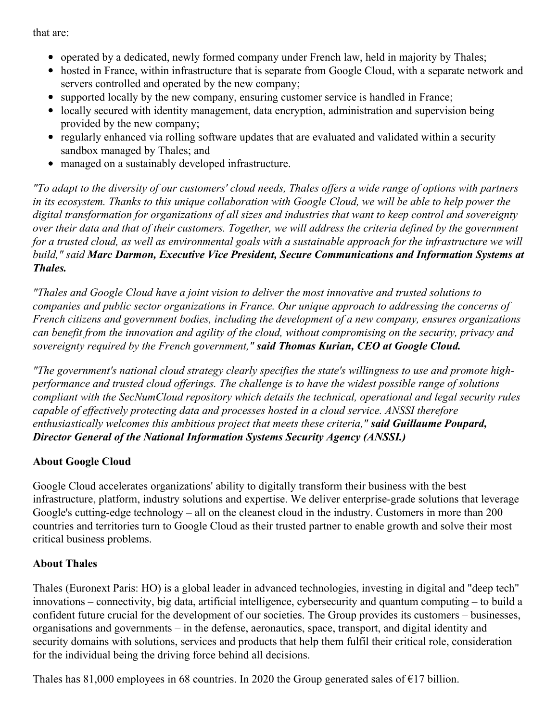that are:

- operated by a dedicated, newly formed company under French law, held in majority by Thales;
- hosted in France, within infrastructure that is separate from Google Cloud, with a separate network and servers controlled and operated by the new company;
- supported locally by the new company, ensuring customer service is handled in France;
- locally secured with identity management, data encryption, administration and supervision being provided by the new company;
- regularly enhanced via rolling software updates that are evaluated and validated within a security sandbox managed by Thales; and
- managed on a sustainably developed infrastructure.

"To adapt to the diversity of our customers' cloud needs, Thales offers a wide range of options with partners in its ecosystem. Thanks to this unique collaboration with Google Cloud, we will be able to help power the *digital transformation for organizations of all sizes and industries that want to keep control and sovereignty* over their data and that of their customers. Together, we will address the criteria defined by the government for a trusted cloud, as well as environmental goals with a sustainable approach for the infrastructure we will *build," said Marc Darmon, Executive Vice President, Secure Communications and Information Systems at Thales.*

*"Thales and Google Cloud have a joint vision to deliver the most innovative and trusted solutions to companies and public sector organizations in France. Our unique approach to addressing the concerns of French citizens and government bodies, including the development of a new company, ensures organizations* can benefit from the innovation and agility of the cloud, without compromising on the security, privacy and *sovereignty required by the French government," said Thomas Kurian, CEO at Google Cloud.*

*"The government's national cloud strategy clearly specifies the state's willingness to use and promote highperformance and trusted cloud of erings. The challenge is to have the widest possible range of solutions compliant with the SecNumCloud repository which details the technical, operational and legal security rules capable of ef ectively protecting data and processes hosted in a cloud service. ANSSI therefore enthusiastically welcomes this ambitious project that meets these criteria," said Guillaume Poupard, Director General of the National Information Systems Security Agency (ANSSI.)*

## **About Google Cloud**

Google Cloud accelerates organizations' ability to digitally transform their business with the best infrastructure, platform, industry solutions and expertise. We deliver enterprise-grade solutions that leverage Google's cutting-edge technology – all on the cleanest cloud in the industry. Customers in more than 200 countries and territories turn to Google Cloud as their trusted partner to enable growth and solve their most critical business problems.

## **About Thales**

Thales (Euronext Paris: HO) is a global leader in advanced technologies, investing in digital and "deep tech" innovations – connectivity, big data, artificial intelligence, cybersecurity and quantum computing – to build a confident future crucial for the development of our societies. The Group provides its customers – businesses, organisations and governments – in the defense, aeronautics, space, transport, and digital identity and security domains with solutions, services and products that help them fulfil their critical role, consideration for the individual being the driving force behind all decisions.

Thales has 81,000 employees in 68 countries. In 2020 the Group generated sales of  $\epsilon$ 17 billion.